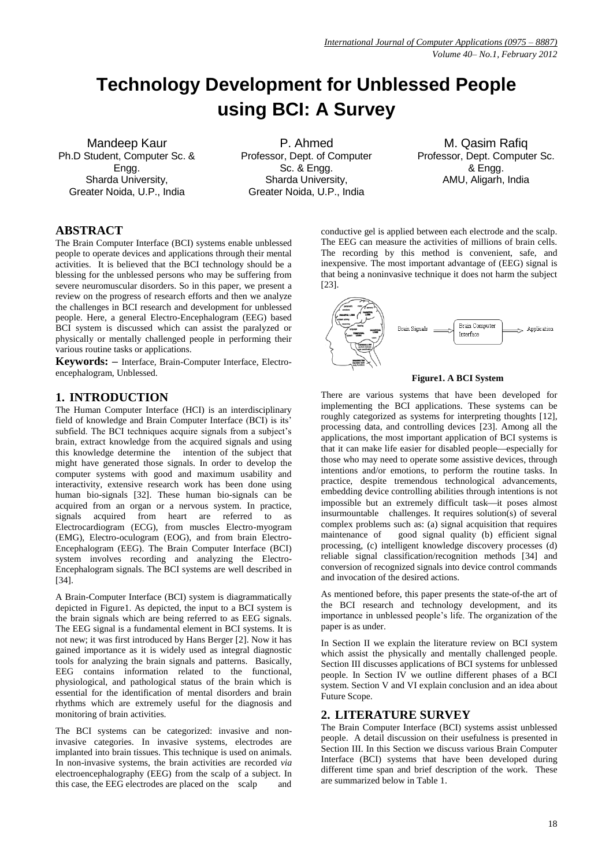# **Technology Development for Unblessed People using BCI: A Survey**

Mandeep Kaur Ph.D Student, Computer Sc. & Engg. Sharda University, Greater Noida, U.P., India

P. Ahmed Professor, Dept. of Computer Sc. & Engg. Sharda University, Greater Noida, U.P., India

M. Qasim Rafiq Professor, Dept. Computer Sc. & Engg. AMU, Aligarh, India

# **ABSTRACT**

The Brain Computer Interface (BCI) systems enable unblessed people to operate devices and applications through their mental activities. It is believed that the BCI technology should be a blessing for the unblessed persons who may be suffering from severe neuromuscular disorders. So in this paper, we present a review on the progress of research efforts and then we analyze the challenges in BCI research and development for unblessed people. Here, a general Electro-Encephalogram (EEG) based BCI system is discussed which can assist the paralyzed or physically or mentally challenged people in performing their various routine tasks or applications.

**Keywords: –** Interface, Brain-Computer Interface, Electroencephalogram, Unblessed.

# **1. INTRODUCTION**

The Human Computer Interface (HCI) is an interdisciplinary field of knowledge and Brain Computer Interface (BCI) is its' subfield. The BCI techniques acquire signals from a subject's brain, extract knowledge from the acquired signals and using this knowledge determine the intention of the subject that might have generated those signals. In order to develop the computer systems with good and maximum usability and interactivity, extensive research work has been done using human bio-signals [32]. These human bio-signals can be acquired from an organ or a nervous system. In practice, signals acquired from heart are referred to as Electrocardiogram (ECG), from muscles Electro-myogram (EMG), Electro-oculogram (EOG), and from brain Electro-Encephalogram (EEG). The Brain Computer Interface (BCI) system involves recording and analyzing the Electro-Encephalogram signals. The BCI systems are well described in [34].

A Brain-Computer Interface (BCI) system is diagrammatically depicted in Figure1. As depicted, the input to a BCI system is the brain signals which are being referred to as EEG signals. The EEG signal is a fundamental element in BCI systems. It is not new; it was first introduced by Hans Berger [2]. Now it has gained importance as it is widely used as integral diagnostic tools for analyzing the brain signals and patterns. Basically, EEG contains information related to the functional, physiological, and pathological status of the brain which is essential for the identification of mental disorders and brain rhythms which are extremely useful for the diagnosis and monitoring of brain activities.

The BCI systems can be categorized: invasive and noninvasive categories. In invasive systems, electrodes are implanted into brain tissues. This technique is used on animals. In non-invasive systems, the brain activities are recorded *via* electroencephalography (EEG) from the scalp of a subject. In this case, the EEG electrodes are placed on the scalp and

conductive gel is applied between each electrode and the scalp. The EEG can measure the activities of millions of brain cells. The recording by this method is convenient, safe, and inexpensive. The most important advantage of (EEG) signal is that being a noninvasive technique it does not harm the subject [23].



### **Figure1. A BCI System**

There are various systems that have been developed for implementing the BCI applications. These systems can be roughly categorized as systems for interpreting thoughts [12], processing data, and controlling devices [23]. Among all the applications, the most important application of BCI systems is that it can make life easier for disabled people—especially for those who may need to operate some assistive devices, through intentions and/or emotions, to perform the routine tasks. In practice, despite tremendous technological advancements, embedding device controlling abilities through intentions is not impossible but an extremely difficult task—it poses almost insurmountable challenges. It requires solution(s) of several complex problems such as: (a) signal acquisition that requires maintenance of good signal quality (b) efficient signal processing, (c) intelligent knowledge discovery processes (d) reliable signal classification/recognition methods [34] and conversion of recognized signals into device control commands and invocation of the desired actions.

As mentioned before, this paper presents the state-of-the art of the BCI research and technology development, and its importance in unblessed people's life. The organization of the paper is as under.

In Section II we explain the literature review on BCI system which assist the physically and mentally challenged people. Section III discusses applications of BCI systems for unblessed people. In Section IV we outline different phases of a BCI system. Section V and VI explain conclusion and an idea about Future Scope.

### **2. LITERATURE SURVEY**

The Brain Computer Interface (BCI) systems assist unblessed people. A detail discussion on their usefulness is presented in Section III. In this Section we discuss various Brain Computer Interface (BCI) systems that have been developed during different time span and brief description of the work. These are summarized below in Table 1.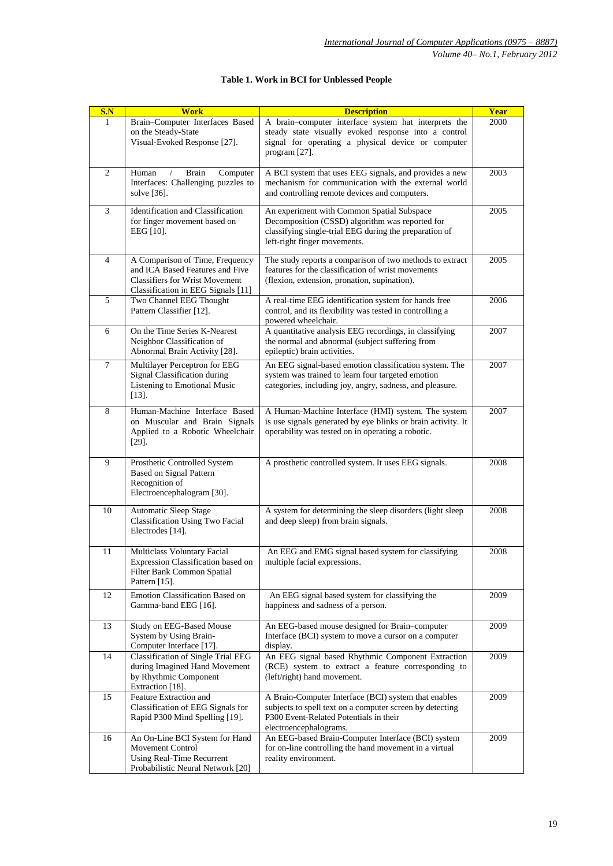| S.N | <b>Work</b>                                                                                                                                       | <b>Description</b>                                                                                                                                                                      | <b>Year</b> |
|-----|---------------------------------------------------------------------------------------------------------------------------------------------------|-----------------------------------------------------------------------------------------------------------------------------------------------------------------------------------------|-------------|
| 1   | Brain-Computer Interfaces Based<br>on the Steady-State<br>Visual-Evoked Response [27].                                                            | A brain-computer interface system hat interprets the<br>steady state visually evoked response into a control<br>signal for operating a physical device or computer<br>program $[27]$ .  | 2000        |
| 2   | Human<br>Computer<br><b>Brain</b><br>$\prime$<br>Interfaces: Challenging puzzles to<br>solve [36].                                                | A BCI system that uses EEG signals, and provides a new<br>mechanism for communication with the external world<br>and controlling remote devices and computers.                          | 2003        |
| 3   | Identification and Classification<br>for finger movement based on<br>EEG [10].                                                                    | An experiment with Common Spatial Subspace<br>Decomposition (CSSD) algorithm was reported for<br>classifying single-trial EEG during the preparation of<br>left-right finger movements. | 2005        |
| 4   | A Comparison of Time, Frequency<br>and ICA Based Features and Five<br><b>Classifiers for Wrist Movement</b><br>Classification in EEG Signals [11] | The study reports a comparison of two methods to extract<br>features for the classification of wrist movements<br>(flexion, extension, pronation, supination).                          | 2005        |
| 5   | Two Channel EEG Thought<br>Pattern Classifier [12].                                                                                               | A real-time EEG identification system for hands free<br>control, and its flexibility was tested in controlling a<br>powered wheelchair.                                                 | 2006        |
| 6   | On the Time Series K-Nearest<br>Neighbor Classification of<br>Abnormal Brain Activity [28].                                                       | A quantitative analysis EEG recordings, in classifying<br>the normal and abnormal (subject suffering from<br>epileptic) brain activities.                                               | 2007        |
| 7   | Multilayer Perceptron for EEG<br>Signal Classification during<br>Listening to Emotional Music<br>$[13]$ .                                         | An EEG signal-based emotion classification system. The<br>system was trained to learn four targeted emotion<br>categories, including joy, angry, sadness, and pleasure.                 | 2007        |
| 8   | Human-Machine Interface Based<br>on Muscular and Brain Signals<br>Applied to a Robotic Wheelchair<br>$[29]$ .                                     | A Human-Machine Interface (HMI) system. The system<br>is use signals generated by eye blinks or brain activity. It<br>operability was tested on in operating a robotic.                 | 2007        |
| 9   | Prosthetic Controlled System<br><b>Based on Signal Pattern</b><br>Recognition of<br>Electroencephalogram [30].                                    | A prosthetic controlled system. It uses EEG signals.                                                                                                                                    | 2008        |
| 10  | Automatic Sleep Stage<br><b>Classification Using Two Facial</b><br>Electrodes [14].                                                               | A system for determining the sleep disorders (light sleep<br>and deep sleep) from brain signals.                                                                                        | 2008        |
| 11  | Multiclass Voluntary Facial<br>Expression Classification based on<br>Filter Bank Common Spatial<br>Pattern [15].                                  | An EEG and EMG signal based system for classifying<br>multiple facial expressions.                                                                                                      | 2008        |
| 12  | Emotion Classification Based on<br>Gamma-band EEG [16].                                                                                           | An EEG signal based system for classifying the<br>happiness and sadness of a person.                                                                                                    | 2009        |
| 13  | Study on EEG-Based Mouse<br>System by Using Brain-<br>Computer Interface [17].                                                                    | An EEG-based mouse designed for Brain-computer<br>Interface (BCI) system to move a cursor on a computer<br>display.                                                                     | 2009        |
| 14  | <b>Classification of Single Trial EEG</b><br>during Imagined Hand Movement<br>by Rhythmic Component<br>Extraction [18].                           | An EEG signal based Rhythmic Component Extraction<br>(RCE) system to extract a feature corresponding to<br>(left/right) hand movement.                                                  | 2009        |
| 15  | Feature Extraction and<br>Classification of EEG Signals for<br>Rapid P300 Mind Spelling [19].                                                     | A Brain-Computer Interface (BCI) system that enables<br>subjects to spell text on a computer screen by detecting<br>P300 Event-Related Potentials in their<br>electroencephalograms.    | 2009        |
| 16  | An On-Line BCI System for Hand<br><b>Movement Control</b><br>Using Real-Time Recurrent<br>Probabilistic Neural Network [20]                       | An EEG-based Brain-Computer Interface (BCI) system<br>for on-line controlling the hand movement in a virtual<br>reality environment.                                                    | 2009        |

# **Table 1. Work in BCI for Unblessed People**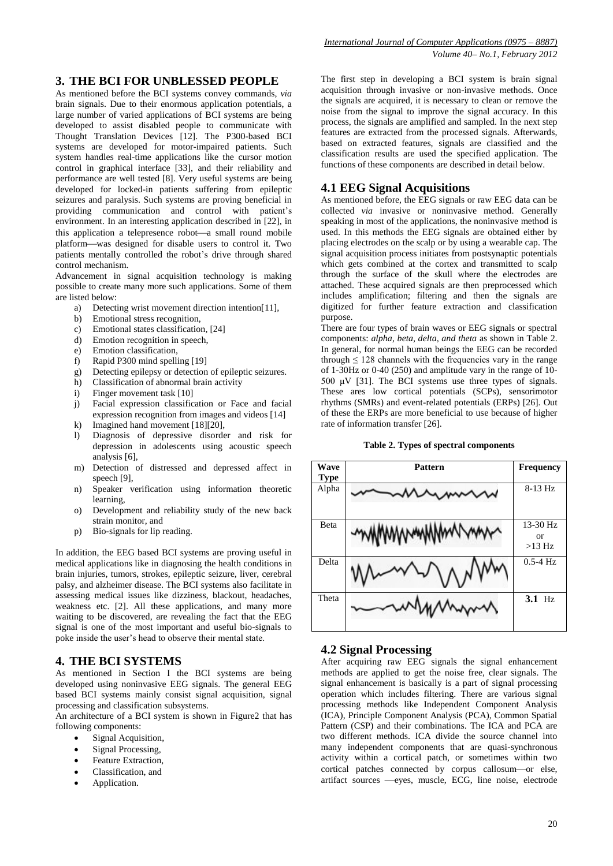# **3. THE BCI FOR UNBLESSED PEOPLE**

As mentioned before the BCI systems convey commands, *via* brain signals. Due to their enormous application potentials, a large number of varied applications of BCI systems are being developed to assist disabled people to communicate with Thought Translation Devices [12]. The P300-based BCI systems are developed for motor-impaired patients. Such system handles real-time applications like the cursor motion control in graphical interface [33], and their reliability and performance are well tested [8]. Very useful systems are being developed for locked-in patients suffering from epileptic seizures and paralysis. Such systems are proving beneficial in providing communication and control with patient's environment. In an interesting application described in [22], in this application a telepresence robot—a small round mobile platformwas designed for disable users to control it. Two patients mentally controlled the robot's drive through shared control mechanism.

Advancement in signal acquisition technology is making possible to create many more such applications. Some of them are listed below:

- a) Detecting wrist movement direction intention[11],
- b) Emotional stress recognition,
- c) Emotional states classification, [24]
- d) Emotion recognition in speech,
- e) Emotion classification,
- f) Rapid P300 mind spelling [19]
- g) Detecting epilepsy or detection of epileptic seizures.
- h) Classification of abnormal brain activity
- i) Finger movement task [10]
- j) Facial expression classification or Face and facial expression recognition from images and videos [14]
- k) Imagined hand movement [18][20],
- l) Diagnosis of depressive disorder and risk for depression in adolescents using acoustic speech analysis [6],
- m) Detection of distressed and depressed affect in speech [9],
- n) Speaker verification using information theoretic learning,
- o) Development and reliability study of the new back strain monitor, and
- p) Bio-signals for lip reading.

In addition, the EEG based BCI systems are proving useful in medical applications like in diagnosing the health conditions in brain injuries, tumors, strokes, epileptic seizure, liver, cerebral palsy, and alzheimer disease. The BCI systems also facilitate in assessing medical issues like dizziness, blackout, headaches, weakness etc. [2]. All these applications, and many more waiting to be discovered, are revealing the fact that the EEG signal is one of the most important and useful bio-signals to poke inside the user's head to observe their mental state.

### **4. THE BCI SYSTEMS**

As mentioned in Section I the BCI systems are being developed using noninvasive EEG signals. The general EEG based BCI systems mainly consist signal acquisition, signal processing and classification subsystems.

An architecture of a BCI system is shown in Figure2 that has following components:

- Signal Acquisition,
- Signal Processing,
- Feature Extraction,
- Classification, and
- Application.

The first step in developing a BCI system is brain signal acquisition through invasive or non-invasive methods. Once the signals are acquired, it is necessary to clean or remove the noise from the signal to improve the signal accuracy. In this process, the signals are amplified and sampled. In the next step features are extracted from the processed signals. Afterwards, based on extracted features, signals are classified and the classification results are used the specified application. The functions of these components are described in detail below.

### **4.1 EEG Signal Acquisitions**

As mentioned before, the EEG signals or raw EEG data can be collected *via* invasive or noninvasive method. Generally speaking in most of the applications, the noninvasive method is used. In this methods the EEG signals are obtained either by placing electrodes on the scalp or by using a wearable cap. The signal acquisition process initiates from postsynaptic potentials which gets combined at the cortex and transmitted to scalp through the surface of the skull where the electrodes are attached. These acquired signals are then preprocessed which includes amplification; filtering and then the signals are digitized for further feature extraction and classification purpose.

There are four types of brain waves or EEG signals or spectral components: *alpha, beta, delta, and theta* as shown in Table 2. In general, for normal human beings the EEG can be recorded through  $\leq 128$  channels with the frequencies vary in the range of 1-30Hz or 0-40 (250) and amplitude vary in the range of 10- 500 μV [31]. The BCI systems use three types of signals. These ares low cortical potentials (SCPs), sensorimotor rhythms (SMRs) and event-related potentials (ERPs) [26]. Out of these the ERPs are more beneficial to use because of higher rate of information transfer [26].

#### **Table 2. Types of spectral components**



### **4.2 Signal Processing**

After acquiring raw EEG signals the signal enhancement methods are applied to get the noise free, clear signals. The signal enhancement is basically is a part of signal processing operation which includes filtering. There are various signal processing methods like Independent Component Analysis (ICA), Principle Component Analysis (PCA), Common Spatial Pattern (CSP) and their combinations. The ICA and PCA are two different methods. ICA divide the source channel into many independent components that are quasi-synchronous activity within a cortical patch, or sometimes within two cortical patches connected by corpus callosum-or else, artifact sources - eyes, muscle, ECG, line noise, electrode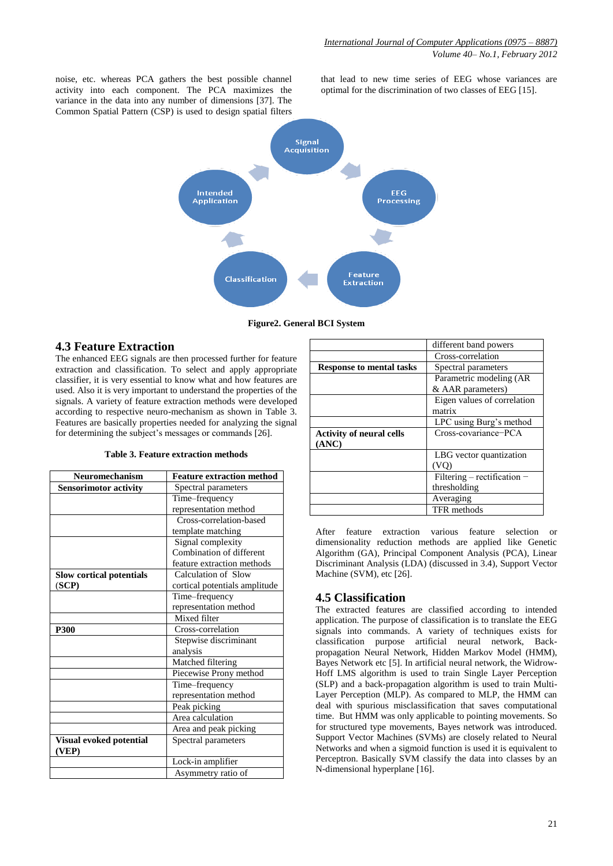noise, etc. whereas PCA gathers the best possible channel activity into each component. The PCA maximizes the variance in the data into any number of dimensions [37]. The Common Spatial Pattern (CSP) is used to design spatial filters

that lead to new time series of EEG whose variances are optimal for the discrimination of two classes of EEG [15].



**Figure2. General BCI System**

# **4.3 Feature Extraction**

The enhanced EEG signals are then processed further for feature extraction and classification. To select and apply appropriate classifier, it is very essential to know what and how features are used. Also it is very important to understand the properties of the signals. A variety of feature extraction methods were developed according to respective neuro-mechanism as shown in Table 3. Features are basically properties needed for analyzing the signal for determining the subject's messages or commands [26].

| Table 3. Feature extraction methods |  |  |
|-------------------------------------|--|--|
|-------------------------------------|--|--|

| <b>Neuromechanism</b>            | <b>Feature extraction method</b> |  |
|----------------------------------|----------------------------------|--|
| <b>Sensorimotor activity</b>     | Spectral parameters              |  |
|                                  | Time-frequency                   |  |
|                                  | representation method            |  |
|                                  | Cross-correlation-based          |  |
|                                  | template matching                |  |
|                                  | Signal complexity                |  |
|                                  | Combination of different         |  |
|                                  | feature extraction methods       |  |
| <b>Slow cortical potentials</b>  | Calculation of Slow              |  |
| (SCP)                            | cortical potentials amplitude    |  |
|                                  | Time-frequency                   |  |
|                                  | representation method            |  |
|                                  | Mixed filter                     |  |
| P300                             | Cross-correlation                |  |
|                                  | Stepwise discriminant            |  |
|                                  | analysis                         |  |
|                                  | Matched filtering                |  |
|                                  | Piecewise Prony method           |  |
|                                  | Time-frequency                   |  |
|                                  | representation method            |  |
|                                  | Peak picking                     |  |
|                                  | Area calculation                 |  |
|                                  | Area and peak picking            |  |
| Visual evoked potential<br>(VEP) | Spectral parameters              |  |
|                                  | Lock-in amplifier                |  |
|                                  | Asymmetry ratio of               |  |

|                                 | different band powers       |  |
|---------------------------------|-----------------------------|--|
|                                 | Cross-correlation           |  |
| <b>Response to mental tasks</b> | Spectral parameters         |  |
|                                 | Parametric modeling (AR     |  |
|                                 | & AAR parameters)           |  |
|                                 | Eigen values of correlation |  |
|                                 | matrix                      |  |
|                                 | LPC using Burg's method     |  |
| <b>Activity of neural cells</b> | Cross-covariance-PCA        |  |
| (ANC)                           |                             |  |
|                                 | LBG vector quantization     |  |
|                                 |                             |  |
|                                 | Filtering - rectification - |  |
|                                 | thresholding                |  |
|                                 | Averaging                   |  |
|                                 | TFR methods                 |  |

After feature extraction various feature selection or dimensionality reduction methods are applied like Genetic Algorithm (GA), Principal Component Analysis (PCA), Linear Discriminant Analysis (LDA) (discussed in 3.4), Support Vector Machine (SVM), etc [26].

# **4.5 Classification**

The extracted features are classified according to intended application. The purpose of classification is to translate the EEG signals into commands. A variety of techniques exists for classification purpose artificial neural network, Backpropagation Neural Network, Hidden Markov Model (HMM), Bayes Network etc [5]. In artificial neural network, the Widrow-Hoff LMS algorithm is used to train Single Layer Perception (SLP) and a back-propagation algorithm is used to train Multi-Layer Perception (MLP). As compared to MLP, the HMM can deal with spurious misclassification that saves computational time. But HMM was only applicable to pointing movements. So for structured type movements, Bayes network was introduced. Support Vector Machines (SVMs) are closely related to Neural Networks and when a sigmoid function is used it is equivalent to Perceptron. Basically SVM classify the data into classes by an N-dimensional hyperplane [16].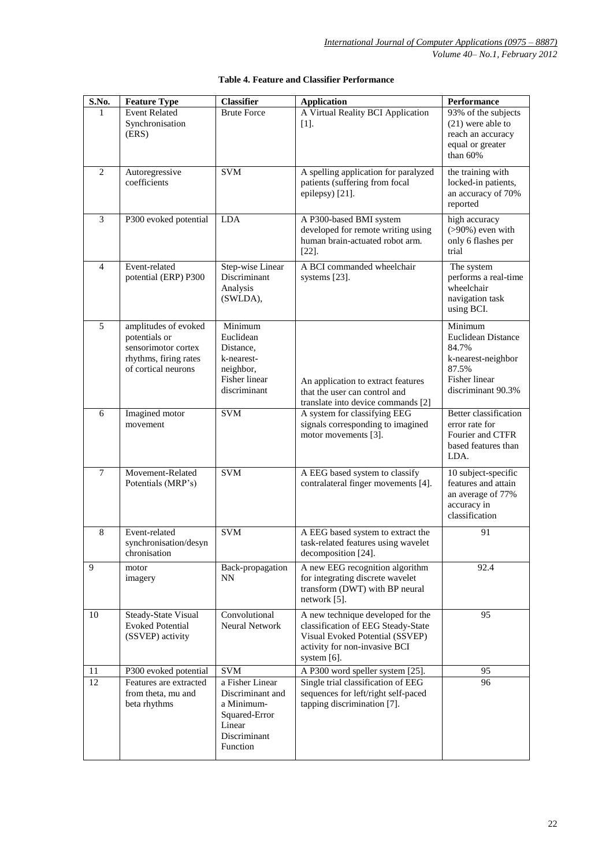| S.No.           | <b>Feature Type</b>                                                                                          | <b>Classifier</b>                                                                                        | <b>Application</b>                                                                                                                                            | Performance                                                                                                  |
|-----------------|--------------------------------------------------------------------------------------------------------------|----------------------------------------------------------------------------------------------------------|---------------------------------------------------------------------------------------------------------------------------------------------------------------|--------------------------------------------------------------------------------------------------------------|
| ı.              | <b>Event Related</b><br>Synchronisation<br>(ERS)                                                             | <b>Brute Force</b>                                                                                       | A Virtual Reality BCI Application<br>$[1]$ .                                                                                                                  | 93% of the subjects<br>$(21)$ were able to<br>reach an accuracy<br>equal or greater<br>than 60%              |
| 2               | Autoregressive<br>coefficients                                                                               | <b>SVM</b>                                                                                               | A spelling application for paralyzed<br>patients (suffering from focal<br>epilepsy) [21].                                                                     | the training with<br>locked-in patients,<br>an accuracy of 70%<br>reported                                   |
| 3               | P300 evoked potential                                                                                        | <b>LDA</b>                                                                                               | A P300-based BMI system<br>developed for remote writing using<br>human brain-actuated robot arm.<br>$[22]$ .                                                  | high accuracy<br>$(>90\%)$ even with<br>only 6 flashes per<br>trial                                          |
| $\overline{4}$  | Event-related<br>potential (ERP) P300                                                                        | Step-wise Linear<br>Discriminant<br>Analysis<br>(SWLDA),                                                 | A BCI commanded wheelchair<br>systems [23].                                                                                                                   | The system<br>performs a real-time<br>wheelchair<br>navigation task<br>using BCI.                            |
| 5               | amplitudes of evoked<br>potentials or<br>sensorimotor cortex<br>rhythms, firing rates<br>of cortical neurons | Minimum<br>Euclidean<br>Distance,<br>k-nearest-<br>neighbor,<br>Fisher linear<br>discriminant            | An application to extract features<br>that the user can control and<br>translate into device commands [2]                                                     | Minimum<br>Euclidean Distance<br>84.7%<br>k-nearest-neighbor<br>87.5%<br>Fisher linear<br>discriminant 90.3% |
| 6               | Imagined motor<br>movement                                                                                   | <b>SVM</b>                                                                                               | A system for classifying EEG<br>signals corresponding to imagined<br>motor movements [3].                                                                     | <b>Better</b> classification<br>error rate for<br>Fourier and CTFR<br>based features than<br>LDA.            |
| $7\phantom{.0}$ | Movement-Related<br>Potentials (MRP's)                                                                       | <b>SVM</b>                                                                                               | A EEG based system to classify<br>contralateral finger movements [4].                                                                                         | 10 subject-specific<br>features and attain<br>an average of 77%<br>accuracy in<br>classification             |
| 8               | Event-related<br>synchronisation/desyn<br>chronisation                                                       | <b>SVM</b>                                                                                               | A EEG based system to extract the<br>task-related features using wavelet<br>decomposition [24].                                                               | 91                                                                                                           |
| 9               | motor<br>imagery                                                                                             | Back-propagation<br>NΝ                                                                                   | A new EEG recognition algorithm<br>for integrating discrete wavelet<br>transform (DWT) with BP neural<br>network $[5]$ .                                      | 92.4                                                                                                         |
| 10              | Steady-State Visual<br><b>Evoked Potential</b><br>(SSVEP) activity                                           | Convolutional<br>Neural Network                                                                          | A new technique developed for the<br>classification of EEG Steady-State<br>Visual Evoked Potential (SSVEP)<br>activity for non-invasive BCI<br>system $[6]$ . | 95                                                                                                           |
| 11              | P300 evoked potential                                                                                        | <b>SVM</b>                                                                                               | A P300 word speller system [25].                                                                                                                              | 95                                                                                                           |
| 12              | Features are extracted<br>from theta, mu and<br>beta rhythms                                                 | a Fisher Linear<br>Discriminant and<br>a Minimum-<br>Squared-Error<br>Linear<br>Discriminant<br>Function | Single trial classification of EEG<br>sequences for left/right self-paced<br>tapping discrimination [7].                                                      | 96                                                                                                           |

### **Table 4. Feature and Classifier Performance**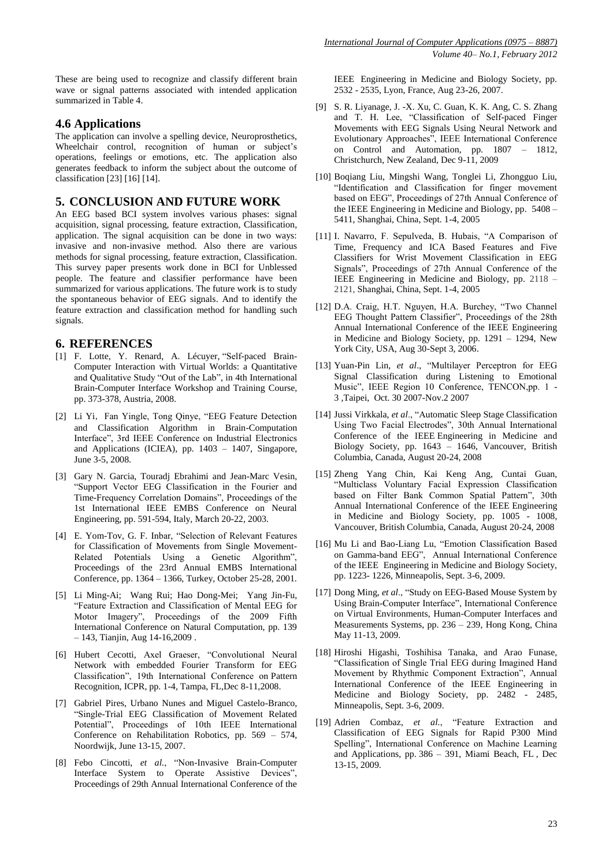These are being used to recognize and classify different brain wave or signal patterns associated with intended application summarized in Table 4.

### **4.6 Applications**

The application can involve a spelling device, Neuroprosthetics, Wheelchair control, recognition of human or subject's operations, feelings or emotions, etc. The application also generates feedback to inform the subject about the outcome of classification [23] [16] [14].

### **5. CONCLUSION AND FUTURE WORK**

An EEG based BCI system involves various phases: signal acquisition, signal processing, feature extraction, Classification, application. The signal acquisition can be done in two ways: invasive and non-invasive method. Also there are various methods for signal processing, feature extraction, Classification. This survey paper presents work done in BCI for Unblessed people. The feature and classifier performance have been summarized for various applications. The future work is to study the spontaneous behavior of EEG signals. And to identify the feature extraction and classification method for handling such signals.

# **6. REFERENCES**

- [1] F. Lotte, Y. Renard, A. Lécuyer, "Self-paced Brain-Computer Interaction with Virtual Worlds: a Quantitative and Qualitative Study "Out of the Lab", in 4th International Brain-Computer Interface Workshop and Training Course, pp. 373-378, Austria, 2008.
- [2] Li Yi, Fan Yingle, Tong Qinye, "EEG Feature Detection and Classification Algorithm in Brain-Computation Interface", 3rd IEEE Conference on Industrial Electronics and Applications (ICIEA), pp. 1403 – 1407, Singapore, June 3-5, 2008.
- [3] Gary N. Garcia, Touradj Ebrahimi and Jean-Marc Vesin, ―Support Vector EEG Classification in the Fourier and Time-Frequency Correlation Domains", Proceedings of the 1st International IEEE EMBS Conference on Neural Engineering, pp. 591-594, Italy, March 20-22, 2003.
- [4] E. Yom-Tov, G. F. Inbar, "Selection of Relevant Features for Classification of Movements from Single Movement-Related Potentials Using a Genetic Algorithm", Proceedings of the 23rd Annual EMBS International Conference, pp. 1364 – 1366, Turkey, October 25-28, 2001.
- [5] Li Ming-Ai; Wang Rui; Hao Dong-Mei; Yang Jin-Fu, ―Feature Extraction and Classification of Mental EEG for Motor Imagery", Proceedings of the 2009 Fifth International Conference on Natural Computation, pp. 139 – 143, Tianjin, Aug 14-16,2009 .
- [6] Hubert Cecotti, Axel Graeser, "Convolutional Neural Network with embedded Fourier Transform for EEG Classification‖, 19th International Conference on Pattern Recognition, ICPR, pp. 1-4, Tampa, FL,Dec 8-11,2008.
- [7] Gabriel Pires, Urbano Nunes and Miguel Castelo-Branco, ―Single-Trial EEG Classification of Movement Related Potential", Proceedings of 10th IEEE International Conference on Rehabilitation Robotics, pp. 569 – 574, Noordwijk, June 13-15, 2007.
- [8] Febo Cincotti, et al., "Non-Invasive Brain-Computer Interface System to Operate Assistive Devices", Proceedings of 29th Annual International Conference of the

IEEE Engineering in Medicine and Biology Society, pp. 2532 - 2535, Lyon, France, Aug 23-26, 2007.

- [9] S. R. Liyanage, J. -X. Xu, C. Guan, K. K. Ang, C. S. Zhang and T. H. Lee, "Classification of Self-paced Finger Movements with EEG Signals Using Neural Network and Evolutionary Approaches", IEEE International Conference on Control and Automation, pp. 1807 – 1812, Christchurch, New Zealand, Dec 9-11, 2009
- [10] Boqiang Liu, Mingshi Wang, Tonglei Li, Zhongguo Liu, "Identification and Classification for finger movement based on EEG", Proceedings of 27th Annual Conference of the IEEE Engineering in Medicine and Biology, pp. 5408 – 5411, Shanghai, China, Sept. 1-4, 2005
- [11] I. Navarro, F. Sepulveda, B. Hubais, "A Comparison of Time, Frequency and ICA Based Features and Five Classifiers for Wrist Movement Classification in EEG Signals", Proceedings of 27th Annual Conference of the IEEE Engineering in Medicine and Biology, pp. 2118 – 2121, Shanghai, China, Sept. 1-4, 2005
- [12] D.A. Craig, H.T. Nguyen, H.A. Burchey, "Two Channel EEG Thought Pattern Classifier", Proceedings of the 28th Annual International Conference of the IEEE Engineering in Medicine and Biology Society, pp. 1291 – 1294, New York City, USA, Aug 30-Sept 3, 2006.
- [13] Yuan-Pin Lin, et al., "Multilayer Perceptron for EEG Signal Classification during Listening to Emotional Music", IEEE Region 10 Conference, TENCON,pp. 1 -3 ,Taipei, Oct. 30 2007-Nov.2 2007
- [14] Jussi Virkkala, et al., "Automatic Sleep Stage Classification Using Two Facial Electrodes", 30th Annual International Conference of the IEEE Engineering in Medicine and Biology Society, pp. 1643 – 1646, Vancouver, British Columbia, Canada, August 20-24, 2008
- [15] Zheng Yang Chin, Kai Keng Ang, Cuntai Guan, ―Multiclass Voluntary Facial Expression Classification based on Filter Bank Common Spatial Pattern", 30th Annual International Conference of the IEEE Engineering in Medicine and Biology Society, pp. 1005 - 1008, Vancouver, British Columbia, Canada, August 20-24, 2008
- [16] Mu Li and Bao-Liang Lu, "Emotion Classification Based on Gamma-band EEG", Annual International Conference of the IEEE Engineering in Medicine and Biology Society, pp. 1223- 1226, Minneapolis, Sept. 3-6, 2009.
- [17] Dong Ming, et al., "Study on EEG-Based Mouse System by Using Brain-Computer Interface", International Conference on Virtual Environments, Human-Computer Interfaces and Measurements Systems, pp. 236 – 239, Hong Kong, China May 11-13, 2009.
- [18] Hiroshi Higashi, Toshihisa Tanaka, and Arao Funase, ―Classification of Single Trial EEG during Imagined Hand Movement by Rhythmic Component Extraction", Annual International Conference of the IEEE Engineering in Medicine and Biology Society, pp. 2482 - 2485, Minneapolis, Sept. 3-6, 2009.
- [19] Adrien Combaz, et al., "Feature Extraction and Classification of EEG Signals for Rapid P300 Mind Spelling", International Conference on Machine Learning and Applications, pp. 386 – 391, Miami Beach, FL , Dec 13-15, 2009.